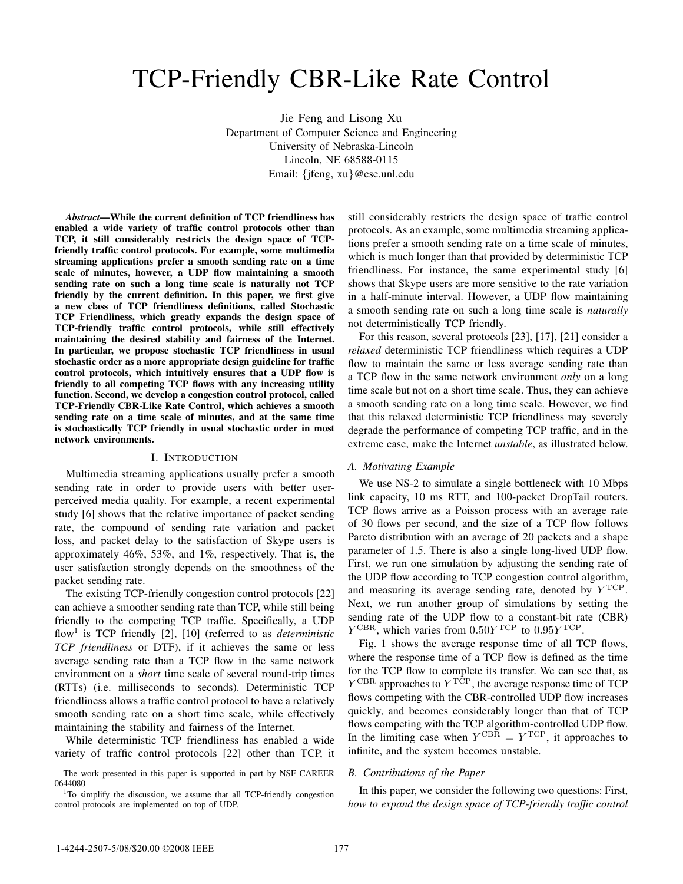# TCP-Friendly CBR-Like Rate Control

Jie Feng and Lisong Xu Department of Computer Science and Engineering University of Nebraska-Lincoln Lincoln, NE 68588-0115 Email: {jfeng, xu}@cse.unl.edu

*Abstract***—While the current definition of TCP friendliness has enabled a wide variety of traffic control protocols other than TCP, it still considerably restricts the design space of TCPfriendly traffic control protocols. For example, some multimedia streaming applications prefer a smooth sending rate on a time scale of minutes, however, a UDP flow maintaining a smooth sending rate on such a long time scale is naturally not TCP friendly by the current definition. In this paper, we first give a new class of TCP friendliness definitions, called Stochastic TCP Friendliness, which greatly expands the design space of TCP-friendly traffic control protocols, while still effectively maintaining the desired stability and fairness of the Internet. In particular, we propose stochastic TCP friendliness in usual stochastic order as a more appropriate design guideline for traffic control protocols, which intuitively ensures that a UDP flow is friendly to all competing TCP flows with any increasing utility function. Second, we develop a congestion control protocol, called TCP-Friendly CBR-Like Rate Control, which achieves a smooth sending rate on a time scale of minutes, and at the same time is stochastically TCP friendly in usual stochastic order in most network environments.**

#### I. INTRODUCTION

Multimedia streaming applications usually prefer a smooth sending rate in order to provide users with better userperceived media quality. For example, a recent experimental study [6] shows that the relative importance of packet sending rate, the compound of sending rate variation and packet loss, and packet delay to the satisfaction of Skype users is approximately 46%, 53%, and 1%, respectively. That is, the user satisfaction strongly depends on the smoothness of the packet sending rate.

The existing TCP-friendly congestion control protocols [22] can achieve a smoother sending rate than TCP, while still being friendly to the competing TCP traffic. Specifically, a UDP flow<sup>1</sup> is TCP friendly [2], [10] (referred to as *deterministic TCP friendliness* or DTF), if it achieves the same or less average sending rate than a TCP flow in the same network environment on a *short* time scale of several round-trip times (RTTs) (i.e. milliseconds to seconds). Deterministic TCP friendliness allows a traffic control protocol to have a relatively smooth sending rate on a short time scale, while effectively maintaining the stability and fairness of the Internet.

While deterministic TCP friendliness has enabled a wide variety of traffic control protocols [22] other than TCP, it

The work presented in this paper is supported in part by NSF CAREER 0644080

still considerably restricts the design space of traffic control protocols. As an example, some multimedia streaming applications prefer a smooth sending rate on a time scale of minutes, which is much longer than that provided by deterministic TCP friendliness. For instance, the same experimental study [6] shows that Skype users are more sensitive to the rate variation in a half-minute interval. However, a UDP flow maintaining a smooth sending rate on such a long time scale is *naturally* not deterministically TCP friendly.

For this reason, several protocols [23], [17], [21] consider a *relaxed* deterministic TCP friendliness which requires a UDP flow to maintain the same or less average sending rate than a TCP flow in the same network environment *only* on a long time scale but not on a short time scale. Thus, they can achieve a smooth sending rate on a long time scale. However, we find that this relaxed deterministic TCP friendliness may severely degrade the performance of competing TCP traffic, and in the extreme case, make the Internet *unstable*, as illustrated below.

### *A. Motivating Example*

We use NS-2 to simulate a single bottleneck with 10 Mbps link capacity, 10 ms RTT, and 100-packet DropTail routers. TCP flows arrive as a Poisson process with an average rate of 30 flows per second, and the size of a TCP flow follows Pareto distribution with an average of 20 packets and a shape parameter of 1.5. There is also a single long-lived UDP flow. First, we run one simulation by adjusting the sending rate of the UDP flow according to TCP congestion control algorithm, and measuring its average sending rate, denoted by  $Y^{\text{TCP}}$ . Next, we run another group of simulations by setting the sending rate of the UDP flow to a constant-bit rate (CBR)  $Y^{\text{CBR}}$ , which varies from  $0.50Y^{\text{TCP}}$  to  $0.95Y^{\text{TCP}}$ .

Fig. 1 shows the average response time of all TCP flows, where the response time of a TCP flow is defined as the time for the TCP flow to complete its transfer. We can see that, as  $Y^{\text{CBR}}$  approaches to  $Y^{\text{TCP}}$ , the average response time of TCP flows competing with the CBR-controlled UDP flow increases quickly, and becomes considerably longer than that of TCP flows competing with the TCP algorithm-controlled UDP flow. In the limiting case when  $Y^{\text{CBR}} = Y^{\text{TCP}}$ , it approaches to infinite, and the system becomes unstable.

#### *B. Contributions of the Paper*

In this paper, we consider the following two questions: First, *how to expand the design space of TCP-friendly traffic control*

<sup>&</sup>lt;sup>1</sup>To simplify the discussion, we assume that all TCP-friendly congestion control protocols are implemented on top of UDP.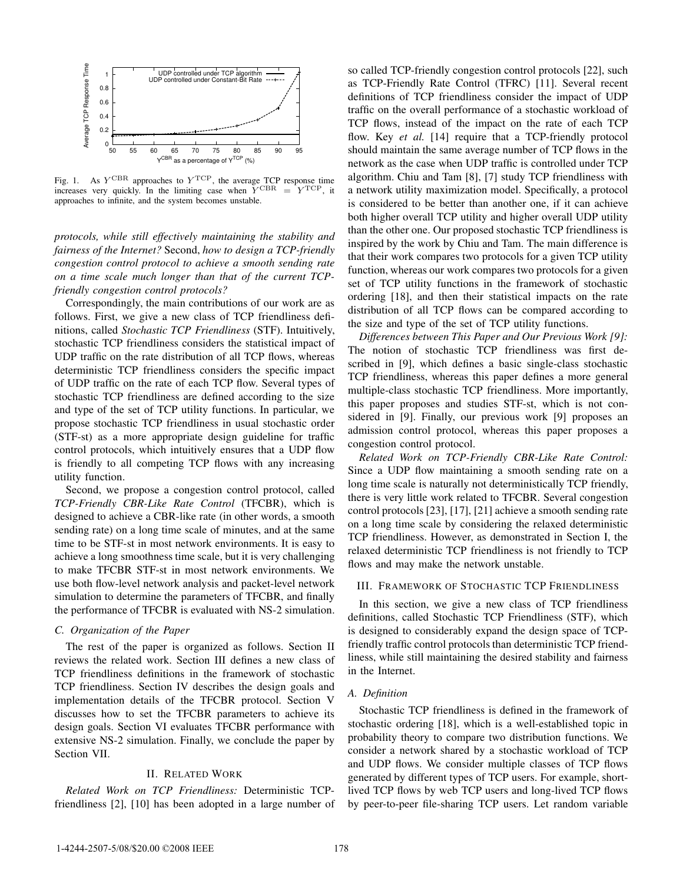

Fig. 1. As  $Y^{\text{CBR}}$  approaches to  $Y^{\text{TCP}}$ , the average TCP response time increases very quickly. In the limiting case when  $\check{Y}^{CBR} = Y^{TCP}$ , it approaches to infinite, and the system becomes unstable.

*protocols, while still effectively maintaining the stability and fairness of the Internet?* Second, *how to design a TCP-friendly congestion control protocol to achieve a smooth sending rate on a time scale much longer than that of the current TCPfriendly congestion control protocols?*

Correspondingly, the main contributions of our work are as follows. First, we give a new class of TCP friendliness definitions, called *Stochastic TCP Friendliness* (STF). Intuitively, stochastic TCP friendliness considers the statistical impact of UDP traffic on the rate distribution of all TCP flows, whereas deterministic TCP friendliness considers the specific impact of UDP traffic on the rate of each TCP flow. Several types of stochastic TCP friendliness are defined according to the size and type of the set of TCP utility functions. In particular, we propose stochastic TCP friendliness in usual stochastic order (STF-st) as a more appropriate design guideline for traffic control protocols, which intuitively ensures that a UDP flow is friendly to all competing TCP flows with any increasing utility function.

Second, we propose a congestion control protocol, called *TCP-Friendly CBR-Like Rate Control* (TFCBR), which is designed to achieve a CBR-like rate (in other words, a smooth sending rate) on a long time scale of minutes, and at the same time to be STF-st in most network environments. It is easy to achieve a long smoothness time scale, but it is very challenging to make TFCBR STF-st in most network environments. We use both flow-level network analysis and packet-level network simulation to determine the parameters of TFCBR, and finally the performance of TFCBR is evaluated with NS-2 simulation.

#### *C. Organization of the Paper*

The rest of the paper is organized as follows. Section II reviews the related work. Section III defines a new class of TCP friendliness definitions in the framework of stochastic TCP friendliness. Section IV describes the design goals and implementation details of the TFCBR protocol. Section V discusses how to set the TFCBR parameters to achieve its design goals. Section VI evaluates TFCBR performance with extensive NS-2 simulation. Finally, we conclude the paper by Section VII.

## II. RELATED WORK

*Related Work on TCP Friendliness:* Deterministic TCPfriendliness [2], [10] has been adopted in a large number of

so called TCP-friendly congestion control protocols [22], such as TCP-Friendly Rate Control (TFRC) [11]. Several recent definitions of TCP friendliness consider the impact of UDP traffic on the overall performance of a stochastic workload of TCP flows, instead of the impact on the rate of each TCP flow. Key *et al.* [14] require that a TCP-friendly protocol should maintain the same average number of TCP flows in the network as the case when UDP traffic is controlled under TCP algorithm. Chiu and Tam [8], [7] study TCP friendliness with a network utility maximization model. Specifically, a protocol is considered to be better than another one, if it can achieve both higher overall TCP utility and higher overall UDP utility than the other one. Our proposed stochastic TCP friendliness is inspired by the work by Chiu and Tam. The main difference is that their work compares two protocols for a given TCP utility function, whereas our work compares two protocols for a given set of TCP utility functions in the framework of stochastic ordering [18], and then their statistical impacts on the rate distribution of all TCP flows can be compared according to the size and type of the set of TCP utility functions.

*Differences between This Paper and Our Previous Work [9]:* The notion of stochastic TCP friendliness was first described in [9], which defines a basic single-class stochastic TCP friendliness, whereas this paper defines a more general multiple-class stochastic TCP friendliness. More importantly, this paper proposes and studies STF-st, which is not considered in [9]. Finally, our previous work [9] proposes an admission control protocol, whereas this paper proposes a congestion control protocol.

*Related Work on TCP-Friendly CBR-Like Rate Control:* Since a UDP flow maintaining a smooth sending rate on a long time scale is naturally not deterministically TCP friendly, there is very little work related to TFCBR. Several congestion control protocols [23], [17], [21] achieve a smooth sending rate on a long time scale by considering the relaxed deterministic TCP friendliness. However, as demonstrated in Section I, the relaxed deterministic TCP friendliness is not friendly to TCP flows and may make the network unstable.

#### III. FRAMEWORK OF STOCHASTIC TCP FRIENDLINESS

In this section, we give a new class of TCP friendliness definitions, called Stochastic TCP Friendliness (STF), which is designed to considerably expand the design space of TCPfriendly traffic control protocols than deterministic TCP friendliness, while still maintaining the desired stability and fairness in the Internet.

## *A. Definition*

Stochastic TCP friendliness is defined in the framework of stochastic ordering [18], which is a well-established topic in probability theory to compare two distribution functions. We consider a network shared by a stochastic workload of TCP and UDP flows. We consider multiple classes of TCP flows generated by different types of TCP users. For example, shortlived TCP flows by web TCP users and long-lived TCP flows by peer-to-peer file-sharing TCP users. Let random variable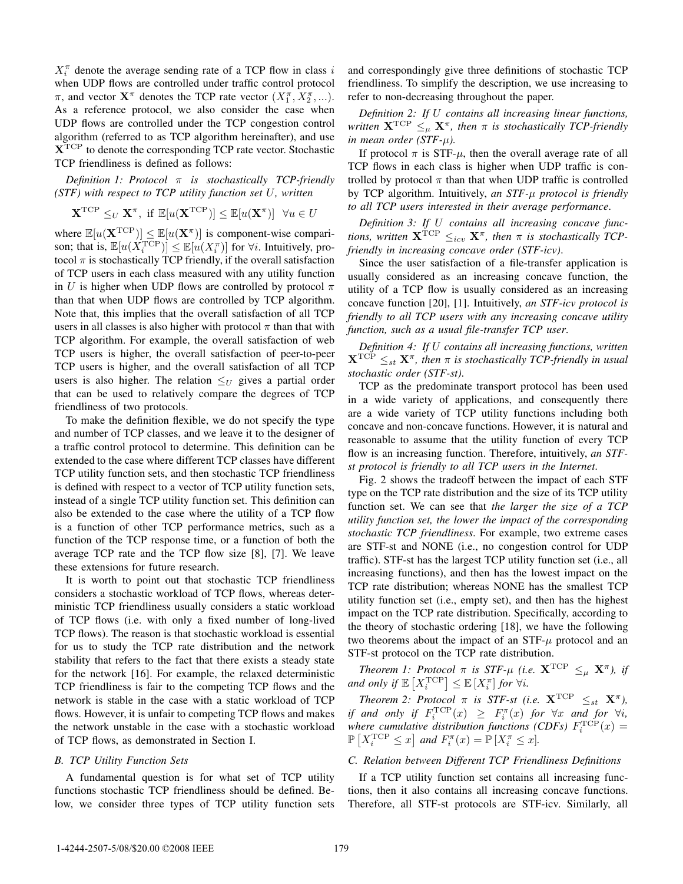$X_i^{\pi}$  denote the average sending rate of a TCP flow in class i when UDP flows are controlled under traffic control protocol  $\pi$ , and vector  $\mathbf{X}^{\pi}$  denotes the TCP rate vector  $(X_1^{\pi}, X_2^{\pi}, \ldots)$ . As a reference protocol, we also consider the case when UDP flows are controlled under the TCP congestion control algorithm (referred to as TCP algorithm hereinafter), and use **X**TCP to denote the corresponding TCP rate vector. Stochastic TCP friendliness is defined as follows:

*Definition 1: Protocol* π *is stochastically TCP-friendly (STF) with respect to TCP utility function set* U*, written*

$$
\mathbf{X}^{\text{TCP}} \leq_U \mathbf{X}^{\pi}, \text{ if } \mathbb{E}[u(\mathbf{X}^{\text{TCP}})] \leq \mathbb{E}[u(\mathbf{X}^{\pi})] \quad \forall u \in U
$$

where  $\mathbb{E}[u(\mathbf{X}^{\text{TCP}})] \leq \mathbb{E}[u(\mathbf{X}^{\pi})]$  is component-wise comparison; that is,  $\mathbb{E}[u(X_i^{\text{TCP}})] \leq \mathbb{E}[u(X_i^{\pi})]$  for  $\forall i$ . Intuitively, protocol  $\pi$  is stochastically TCP friendly, if the overall satisfaction of TCP users in each class measured with any utility function in U is higher when UDP flows are controlled by protocol  $\pi$ than that when UDP flows are controlled by TCP algorithm. Note that, this implies that the overall satisfaction of all TCP users in all classes is also higher with protocol  $\pi$  than that with TCP algorithm. For example, the overall satisfaction of web TCP users is higher, the overall satisfaction of peer-to-peer TCP users is higher, and the overall satisfaction of all TCP users is also higher. The relation  $\leq_U$  gives a partial order that can be used to relatively compare the degrees of TCP friendliness of two protocols.

To make the definition flexible, we do not specify the type and number of TCP classes, and we leave it to the designer of a traffic control protocol to determine. This definition can be extended to the case where different TCP classes have different TCP utility function sets, and then stochastic TCP friendliness is defined with respect to a vector of TCP utility function sets, instead of a single TCP utility function set. This definition can also be extended to the case where the utility of a TCP flow is a function of other TCP performance metrics, such as a function of the TCP response time, or a function of both the average TCP rate and the TCP flow size [8], [7]. We leave these extensions for future research.

It is worth to point out that stochastic TCP friendliness considers a stochastic workload of TCP flows, whereas deterministic TCP friendliness usually considers a static workload of TCP flows (i.e. with only a fixed number of long-lived TCP flows). The reason is that stochastic workload is essential for us to study the TCP rate distribution and the network stability that refers to the fact that there exists a steady state for the network [16]. For example, the relaxed deterministic TCP friendliness is fair to the competing TCP flows and the network is stable in the case with a static workload of TCP flows. However, it is unfair to competing TCP flows and makes the network unstable in the case with a stochastic workload of TCP flows, as demonstrated in Section I.

#### *B. TCP Utility Function Sets*

A fundamental question is for what set of TCP utility functions stochastic TCP friendliness should be defined. Below, we consider three types of TCP utility function sets and correspondingly give three definitions of stochastic TCP friendliness. To simplify the description, we use increasing to refer to non-decreasing throughout the paper.

*Definition 2: If* U *contains all increasing linear functions, written*  $\mathbf{X}^{\text{TCP}} \leq_{\mu} \mathbf{X}^{\pi}$ *, then*  $\pi$  *is stochastically TCP-friendly in mean order (STF-*μ*).*

If protocol  $\pi$  is STF- $\mu$ , then the overall average rate of all TCP flows in each class is higher when UDP traffic is controlled by protocol  $\pi$  than that when UDP traffic is controlled by TCP algorithm. Intuitively, *an STF-*μ *protocol is friendly to all TCP users interested in their average performance*.

*Definition 3: If* U *contains all increasing concave functions, written*  $X^{TCP} \leq_{icv} X^{\pi}$ *, then*  $\pi$  *is stochastically TCPfriendly in increasing concave order (STF-icv)*.

Since the user satisfaction of a file-transfer application is usually considered as an increasing concave function, the utility of a TCP flow is usually considered as an increasing concave function [20], [1]. Intuitively, *an STF-icv protocol is friendly to all TCP users with any increasing concave utility function, such as a usual file-transfer TCP user*.

*Definition 4: If* U *contains all increasing functions, written*  $\mathbf{X}^{\text{TCP}} \leq_{st} \mathbf{X}^{\pi}$ , then  $\pi$  is stochastically TCP-friendly in usual *stochastic order (STF-st)*.

TCP as the predominate transport protocol has been used in a wide variety of applications, and consequently there are a wide variety of TCP utility functions including both concave and non-concave functions. However, it is natural and reasonable to assume that the utility function of every TCP flow is an increasing function. Therefore, intuitively, *an STFst protocol is friendly to all TCP users in the Internet*.

Fig. 2 shows the tradeoff between the impact of each STF type on the TCP rate distribution and the size of its TCP utility function set. We can see that *the larger the size of a TCP utility function set, the lower the impact of the corresponding stochastic TCP friendliness*. For example, two extreme cases are STF-st and NONE (i.e., no congestion control for UDP traffic). STF-st has the largest TCP utility function set (i.e., all increasing functions), and then has the lowest impact on the TCP rate distribution; whereas NONE has the smallest TCP utility function set (i.e., empty set), and then has the highest impact on the TCP rate distribution. Specifically, according to the theory of stochastic ordering [18], we have the following two theorems about the impact of an  $STF-\mu$  protocol and an STF-st protocol on the TCP rate distribution.

*Theorem 1: Protocol*  $\pi$  *is STF-* $\mu$  *(i.e.*  $\mathbf{X}^{\text{TCP}} \leq_{\mu} \mathbf{X}^{\pi}$ *), if* and only if  $\mathbb{E}\left[X_i^{\text{TCP}}\right] \leq \mathbb{E}\left[X_i^{\pi}\right]$  for  $\forall i$ .

*Theorem 2: Protocol*  $\pi$  *is STF-st (i.e.*  $X^{TCP} \leq_{st} X^{\pi}$ *)*, *if and only if*  $F_i^{\text{TCP}}(x) \geq F_i^{\pi}(x)$  *for*  $\forall x$  *and for*  $\forall i$ *,* where cumulative distribution functions (CDFs)  $F_i^{\text{TCP}}(x) =$  $\mathbb{P}\left[X_i^{\text{TCP}} \leq x\right]$  and  $F_i^{\pi}(x) = \mathbb{P}\left[X_i^{\pi} \leq x\right]$ .

#### *C. Relation between Different TCP Friendliness Definitions*

If a TCP utility function set contains all increasing functions, then it also contains all increasing concave functions. Therefore, all STF-st protocols are STF-icv. Similarly, all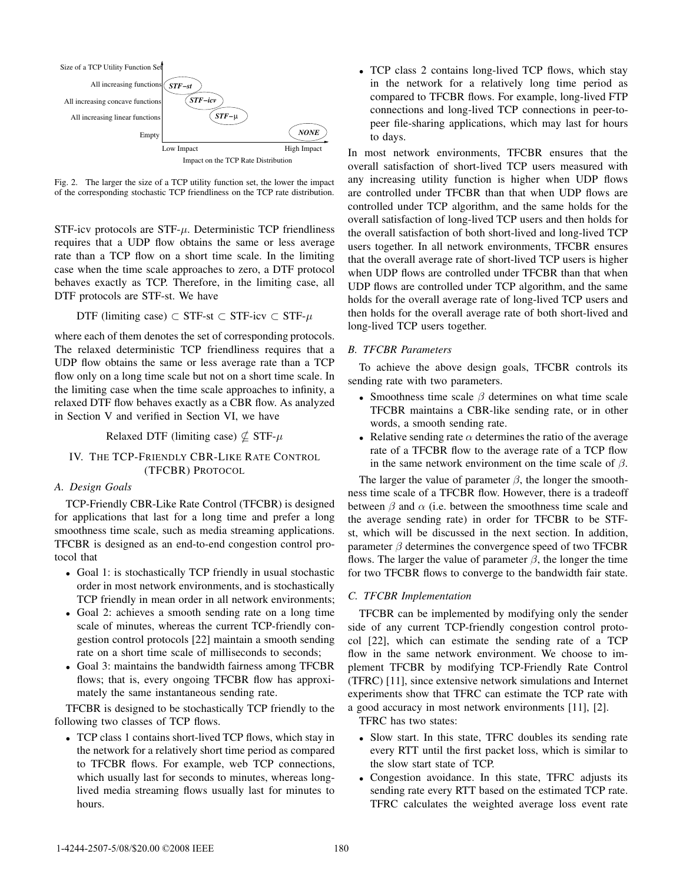

Fig. 2. The larger the size of a TCP utility function set, the lower the impact of the corresponding stochastic TCP friendliness on the TCP rate distribution.

STF-icv protocols are  $STF-\mu$ . Deterministic TCP friendliness requires that a UDP flow obtains the same or less average rate than a TCP flow on a short time scale. In the limiting case when the time scale approaches to zero, a DTF protocol behaves exactly as TCP. Therefore, in the limiting case, all DTF protocols are STF-st. We have

$$
DTF (limiting case) \subset STF-st \subset STF-icv \subset STF-\mu
$$

where each of them denotes the set of corresponding protocols. The relaxed deterministic TCP friendliness requires that a UDP flow obtains the same or less average rate than a TCP flow only on a long time scale but not on a short time scale. In the limiting case when the time scale approaches to infinity, a relaxed DTF flow behaves exactly as a CBR flow. As analyzed in Section V and verified in Section VI, we have

Relaxed DTF (limiting case)  $\nsubseteq$  STF- $\mu$ 

# IV. THE TCP-FRIENDLY CBR-LIKE RATE CONTROL (TFCBR) PROTOCOL

*A. Design Goals*

TCP-Friendly CBR-Like Rate Control (TFCBR) is designed for applications that last for a long time and prefer a long smoothness time scale, such as media streaming applications. TFCBR is designed as an end-to-end congestion control protocol that

- Goal 1: is stochastically TCP friendly in usual stochastic order in most network environments, and is stochastically TCP friendly in mean order in all network environments;
- Goal 2: achieves a smooth sending rate on a long time scale of minutes, whereas the current TCP-friendly congestion control protocols [22] maintain a smooth sending rate on a short time scale of milliseconds to seconds;
- Goal 3: maintains the bandwidth fairness among TFCBR flows; that is, every ongoing TFCBR flow has approximately the same instantaneous sending rate.

TFCBR is designed to be stochastically TCP friendly to the following two classes of TCP flows.

• TCP class 1 contains short-lived TCP flows, which stay in the network for a relatively short time period as compared to TFCBR flows. For example, web TCP connections, which usually last for seconds to minutes, whereas longlived media streaming flows usually last for minutes to hours.

• TCP class 2 contains long-lived TCP flows, which stay in the network for a relatively long time period as compared to TFCBR flows. For example, long-lived FTP connections and long-lived TCP connections in peer-topeer file-sharing applications, which may last for hours to days.

In most network environments, TFCBR ensures that the overall satisfaction of short-lived TCP users measured with any increasing utility function is higher when UDP flows are controlled under TFCBR than that when UDP flows are controlled under TCP algorithm, and the same holds for the overall satisfaction of long-lived TCP users and then holds for the overall satisfaction of both short-lived and long-lived TCP users together. In all network environments, TFCBR ensures that the overall average rate of short-lived TCP users is higher when UDP flows are controlled under TFCBR than that when UDP flows are controlled under TCP algorithm, and the same holds for the overall average rate of long-lived TCP users and then holds for the overall average rate of both short-lived and long-lived TCP users together.

# *B. TFCBR Parameters*

To achieve the above design goals, TFCBR controls its sending rate with two parameters.

- Smoothness time scale  $\beta$  determines on what time scale TFCBR maintains a CBR-like sending rate, or in other words, a smooth sending rate.
- Relative sending rate  $\alpha$  determines the ratio of the average rate of a TFCBR flow to the average rate of a TCP flow in the same network environment on the time scale of  $\beta$ .

The larger the value of parameter  $\beta$ , the longer the smoothness time scale of a TFCBR flow. However, there is a tradeoff between  $\beta$  and  $\alpha$  (i.e. between the smoothness time scale and the average sending rate) in order for TFCBR to be STFst, which will be discussed in the next section. In addition, parameter  $\beta$  determines the convergence speed of two TFCBR flows. The larger the value of parameter  $\beta$ , the longer the time for two TFCBR flows to converge to the bandwidth fair state.

# *C. TFCBR Implementation*

TFCBR can be implemented by modifying only the sender side of any current TCP-friendly congestion control protocol [22], which can estimate the sending rate of a TCP flow in the same network environment. We choose to implement TFCBR by modifying TCP-Friendly Rate Control (TFRC) [11], since extensive network simulations and Internet experiments show that TFRC can estimate the TCP rate with a good accuracy in most network environments [11], [2].

TFRC has two states:

- Slow start. In this state, TFRC doubles its sending rate every RTT until the first packet loss, which is similar to the slow start state of TCP.
- Congestion avoidance. In this state, TFRC adjusts its sending rate every RTT based on the estimated TCP rate. TFRC calculates the weighted average loss event rate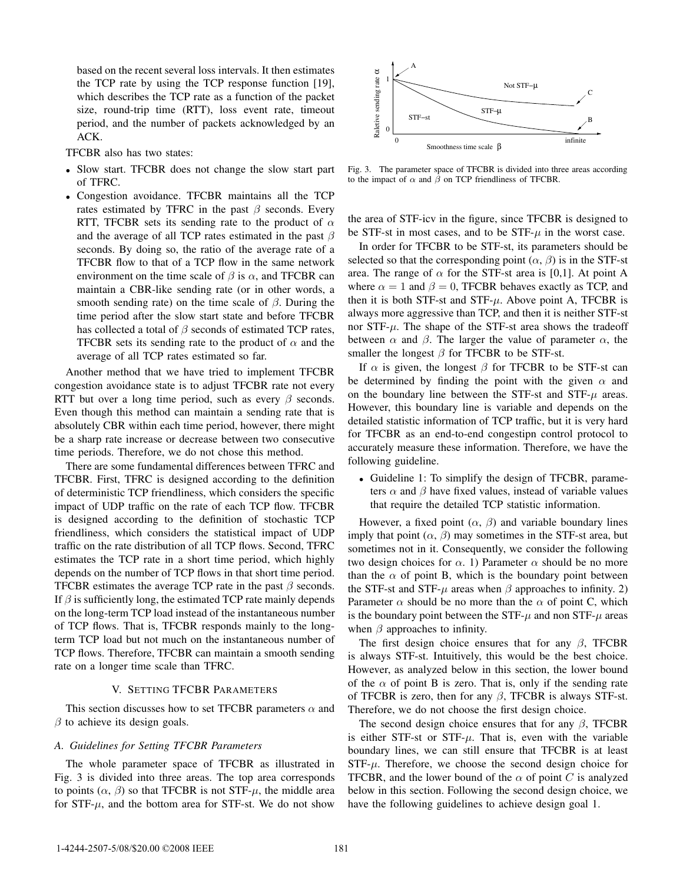based on the recent several loss intervals. It then estimates the TCP rate by using the TCP response function [19], which describes the TCP rate as a function of the packet size, round-trip time (RTT), loss event rate, timeout period, and the number of packets acknowledged by an ACK.

TFCBR also has two states:

- Slow start. TFCBR does not change the slow start part of TFRC.
- Congestion avoidance. TFCBR maintains all the TCP rates estimated by TFRC in the past  $\beta$  seconds. Every RTT, TFCBR sets its sending rate to the product of  $\alpha$ and the average of all TCP rates estimated in the past  $\beta$ seconds. By doing so, the ratio of the average rate of a TFCBR flow to that of a TCP flow in the same network environment on the time scale of  $\beta$  is  $\alpha$ , and TFCBR can maintain a CBR-like sending rate (or in other words, a smooth sending rate) on the time scale of  $\beta$ . During the time period after the slow start state and before TFCBR has collected a total of  $\beta$  seconds of estimated TCP rates, TFCBR sets its sending rate to the product of  $\alpha$  and the average of all TCP rates estimated so far.

Another method that we have tried to implement TFCBR congestion avoidance state is to adjust TFCBR rate not every RTT but over a long time period, such as every  $\beta$  seconds. Even though this method can maintain a sending rate that is absolutely CBR within each time period, however, there might be a sharp rate increase or decrease between two consecutive time periods. Therefore, we do not chose this method.

There are some fundamental differences between TFRC and TFCBR. First, TFRC is designed according to the definition of deterministic TCP friendliness, which considers the specific impact of UDP traffic on the rate of each TCP flow. TFCBR is designed according to the definition of stochastic TCP friendliness, which considers the statistical impact of UDP traffic on the rate distribution of all TCP flows. Second, TFRC estimates the TCP rate in a short time period, which highly depends on the number of TCP flows in that short time period. TFCBR estimates the average TCP rate in the past  $\beta$  seconds. If  $\beta$  is sufficiently long, the estimated TCP rate mainly depends on the long-term TCP load instead of the instantaneous number of TCP flows. That is, TFCBR responds mainly to the longterm TCP load but not much on the instantaneous number of TCP flows. Therefore, TFCBR can maintain a smooth sending rate on a longer time scale than TFRC.

## V. SETTING TFCBR PARAMETERS

This section discusses how to set TFCBR parameters  $\alpha$  and  $\beta$  to achieve its design goals.

## *A. Guidelines for Setting TFCBR Parameters*

The whole parameter space of TFCBR as illustrated in Fig. 3 is divided into three areas. The top area corresponds to points  $(\alpha, \beta)$  so that TFCBR is not STF- $\mu$ , the middle area for  $STF-\mu$ , and the bottom area for STF-st. We do not show



Fig. 3. The parameter space of TFCBR is divided into three areas according to the impact of  $\alpha$  and  $\beta$  on TCP friendliness of TFCBR.

the area of STF-icv in the figure, since TFCBR is designed to be STF-st in most cases, and to be  $STF-\mu$  in the worst case.

In order for TFCBR to be STF-st, its parameters should be selected so that the corresponding point  $(\alpha, \beta)$  is in the STF-st area. The range of  $\alpha$  for the STF-st area is [0,1]. At point A where  $\alpha = 1$  and  $\beta = 0$ , TFCBR behaves exactly as TCP, and then it is both STF-st and STF- $\mu$ . Above point A, TFCBR is always more aggressive than TCP, and then it is neither STF-st nor  $STF-\mu$ . The shape of the STF-st area shows the tradeoff between  $\alpha$  and  $\beta$ . The larger the value of parameter  $\alpha$ , the smaller the longest  $\beta$  for TFCBR to be STF-st.

If  $\alpha$  is given, the longest  $\beta$  for TFCBR to be STF-st can be determined by finding the point with the given  $\alpha$  and on the boundary line between the STF-st and STF- $\mu$  areas. However, this boundary line is variable and depends on the detailed statistic information of TCP traffic, but it is very hard for TFCBR as an end-to-end congestipn control protocol to accurately measure these information. Therefore, we have the following guideline.

• Guideline 1: To simplify the design of TFCBR, parameters  $\alpha$  and  $\beta$  have fixed values, instead of variable values that require the detailed TCP statistic information.

However, a fixed point  $(\alpha, \beta)$  and variable boundary lines imply that point  $(\alpha, \beta)$  may sometimes in the STF-st area, but sometimes not in it. Consequently, we consider the following two design choices for  $\alpha$ . 1) Parameter  $\alpha$  should be no more than the  $\alpha$  of point B, which is the boundary point between the STF-st and STF- $\mu$  areas when  $\beta$  approaches to infinity. 2) Parameter  $\alpha$  should be no more than the  $\alpha$  of point C, which is the boundary point between the STF- $\mu$  and non STF- $\mu$  areas when  $\beta$  approaches to infinity.

The first design choice ensures that for any  $\beta$ , TFCBR is always STF-st. Intuitively, this would be the best choice. However, as analyzed below in this section, the lower bound of the  $\alpha$  of point B is zero. That is, only if the sending rate of TFCBR is zero, then for any  $\beta$ , TFCBR is always STF-st. Therefore, we do not choose the first design choice.

The second design choice ensures that for any  $\beta$ , TFCBR is either STF-st or STF- $\mu$ . That is, even with the variable boundary lines, we can still ensure that TFCBR is at least  $STF-\mu$ . Therefore, we choose the second design choice for TFCBR, and the lower bound of the  $\alpha$  of point C is analyzed below in this section. Following the second design choice, we have the following guidelines to achieve design goal 1.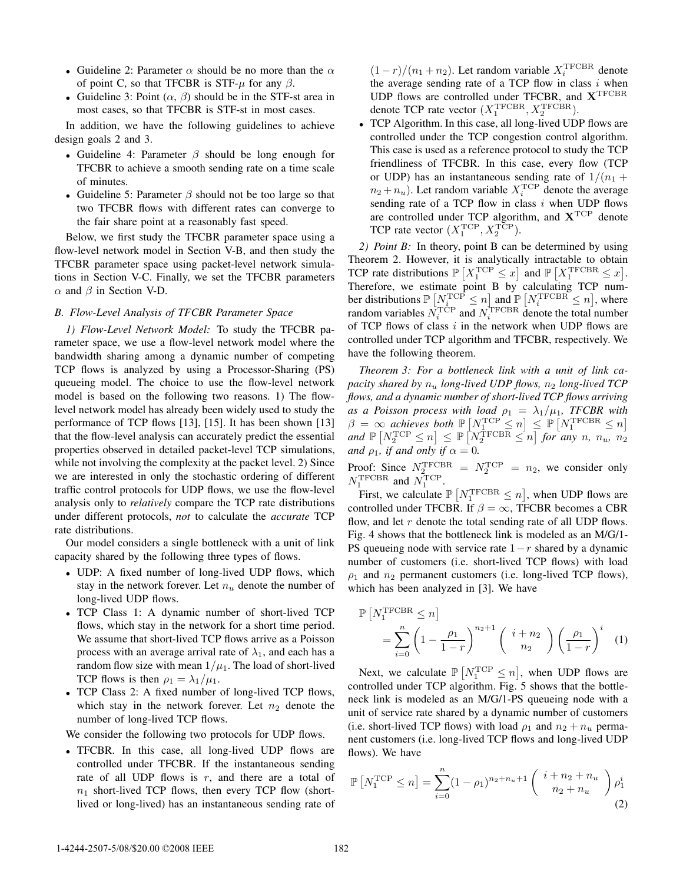- Guideline 2: Parameter  $\alpha$  should be no more than the  $\alpha$ of point C, so that TFCBR is STF- $\mu$  for any  $\beta$ .
- Guideline 3: Point  $(\alpha, \beta)$  should be in the STF-st area in most cases, so that TFCBR is STF-st in most cases.

In addition, we have the following guidelines to achieve design goals 2 and 3.

- Guideline 4: Parameter  $\beta$  should be long enough for TFCBR to achieve a smooth sending rate on a time scale of minutes.
- Guideline 5: Parameter  $\beta$  should not be too large so that two TFCBR flows with different rates can converge to the fair share point at a reasonably fast speed.

Below, we first study the TFCBR parameter space using a flow-level network model in Section V-B, and then study the TFCBR parameter space using packet-level network simulations in Section V-C. Finally, we set the TFCBR parameters  $\alpha$  and  $\beta$  in Section V-D.

## *B. Flow-Level Analysis of TFCBR Parameter Space*

*1) Flow-Level Network Model:* To study the TFCBR parameter space, we use a flow-level network model where the bandwidth sharing among a dynamic number of competing TCP flows is analyzed by using a Processor-Sharing (PS) queueing model. The choice to use the flow-level network model is based on the following two reasons. 1) The flowlevel network model has already been widely used to study the performance of TCP flows [13], [15]. It has been shown [13] that the flow-level analysis can accurately predict the essential properties observed in detailed packet-level TCP simulations, while not involving the complexity at the packet level. 2) Since we are interested in only the stochastic ordering of different traffic control protocols for UDP flows, we use the flow-level analysis only to *relatively* compare the TCP rate distributions under different protocols, *not* to calculate the *accurate* TCP rate distributions.

Our model considers a single bottleneck with a unit of link capacity shared by the following three types of flows.

- UDP: A fixed number of long-lived UDP flows, which stay in the network forever. Let  $n_u$  denote the number of long-lived UDP flows.
- TCP Class 1: A dynamic number of short-lived TCP flows, which stay in the network for a short time period. We assume that short-lived TCP flows arrive as a Poisson process with an average arrival rate of  $\lambda_1$ , and each has a random flow size with mean  $1/\mu_1$ . The load of short-lived TCP flows is then  $\rho_1 = \lambda_1/\mu_1$ .
- TCP Class 2: A fixed number of long-lived TCP flows, which stay in the network forever. Let  $n_2$  denote the number of long-lived TCP flows.

We consider the following two protocols for UDP flows.

• TFCBR. In this case, all long-lived UDP flows are controlled under TFCBR. If the instantaneous sending rate of all UDP flows is  $r$ , and there are a total of  $n_1$  short-lived TCP flows, then every TCP flow (shortlived or long-lived) has an instantaneous sending rate of

 $(1 - r)/(n_1 + n_2)$ . Let random variable  $X_i^{\text{TFCBR}}$  denote the average sending rate of a TCP flow in class  $i$  when UDP flows are controlled under TFCBR, and **X**TFCBR denote TCP rate vector  $(X_1^{\text{TFCBR}}, X_2^{\text{TFCBR}})$ .

• TCP Algorithm. In this case, all long-lived UDP flows are controlled under the TCP congestion control algorithm. This case is used as a reference protocol to study the TCP friendliness of TFCBR. In this case, every flow (TCP or UDP) has an instantaneous sending rate of  $1/(n_1 +$  $n_2 + n_u$ ). Let random variable  $X_i^{\text{TCP}}$  denote the average sending rate of a TCP flow in class  $i$  when UDP flows are controlled under TCP algorithm, and **X**TCP denote TCP rate vector  $(X_1^{\text{TCP}}, X_2^{\text{TCP}})$ .

*2) Point B:* In theory, point B can be determined by using Theorem 2. However, it is analytically intractable to obtain TCP rate distributions  $\mathbb{P}\left[X_1^{\text{TCP}} \leq x\right]$  and  $\mathbb{P}\left[X_1^{\text{TFCBR}} \leq x\right]$ . Therefore, we estimate point B by calculating TCP number distributions  $\mathbb{P}\left[\underset{n}{N_{i}}^{\text{TCP}} \leq n\right]$  and  $\mathbb{P}\left[\underset{n}{N_{i}}^{\text{TFCBR}} \leq n\right]$ , where random variables  $\dot{N}_i^{\text{T}\text{C}\text{P}}$  and  $N_i^{\text{T}\text{FCBR}}$  denote the total number of TCP flows of class  $i$  in the network when UDP flows are controlled under TCP algorithm and TFCBR, respectively. We have the following theorem.

*Theorem 3: For a bottleneck link with a unit of link capacity shared by*  $n_u$  *long-lived UDP flows,*  $n_2$  *long-lived TCP flows, and a dynamic number of short-lived TCP flows arriving as a Poisson process with load*  $\rho_1 = \lambda_1/\mu_1$ , *TFCBR with*  $\beta = \infty$  achieves both  $\mathbb{P}\left[N_1^{\text{TCP}} \leq n\right] \leq \mathbb{P}\left[N_1^{\text{TFCBR}} \leq n\right]$  $and \ \mathbb{P}\left[N_2^{\text{TCP}} \leq n\right] \leq \mathbb{P}\left[N_2^{\text{TFCBR}} \leq n\right]$  for any n,  $n_u$ ,  $n_2$ *and*  $\rho_1$ *, if and only if*  $\alpha = 0$ *.* 

Proof: Since  $N_2^{\text{TFCBR}} = N_2^{\text{TCP}} = n_2$ , we consider only  $N_1^{\text{TFCBR}}$  and  $N_1^{\text{TCP}}$ .

First, we calculate  $\mathbb{P}\left[N_1^{\text{TFCBR}} \leq n\right]$ , when UDP flows are controlled under TFCBR. If  $\beta = \infty$ , TFCBR becomes a CBR flow, and let  $r$  denote the total sending rate of all UDP flows. Fig. 4 shows that the bottleneck link is modeled as an M/G/1- PS queueing node with service rate  $1-r$  shared by a dynamic number of customers (i.e. short-lived TCP flows) with load  $\rho_1$  and  $n_2$  permanent customers (i.e. long-lived TCP flows), which has been analyzed in [3]. We have

$$
\mathbb{P}\left[N_1^{\text{TFCBR}} \le n\right] = \sum_{i=0}^n \left(1 - \frac{\rho_1}{1-r}\right)^{n_2+1} \left(\begin{array}{c} i+n_2\\n_2\end{array}\right) \left(\frac{\rho_1}{1-r}\right)^i \quad (1)
$$

Next, we calculate  $\mathbb{P}\left[N_1^{\text{TCP}} \leq n\right]$ , when UDP flows are controlled under TCP algorithm. Fig. 5 shows that the bottleneck link is modeled as an M/G/1-PS queueing node with a unit of service rate shared by a dynamic number of customers (i.e. short-lived TCP flows) with load  $\rho_1$  and  $n_2 + n_u$  permanent customers (i.e. long-lived TCP flows and long-lived UDP flows). We have

$$
\mathbb{P}\left[N_1^{\text{TCP}} \le n\right] = \sum_{i=0}^n (1 - \rho_1)^{n_2 + n_u + 1} \binom{i + n_2 + n_u}{n_2 + n_u} \rho_1^i \tag{2}
$$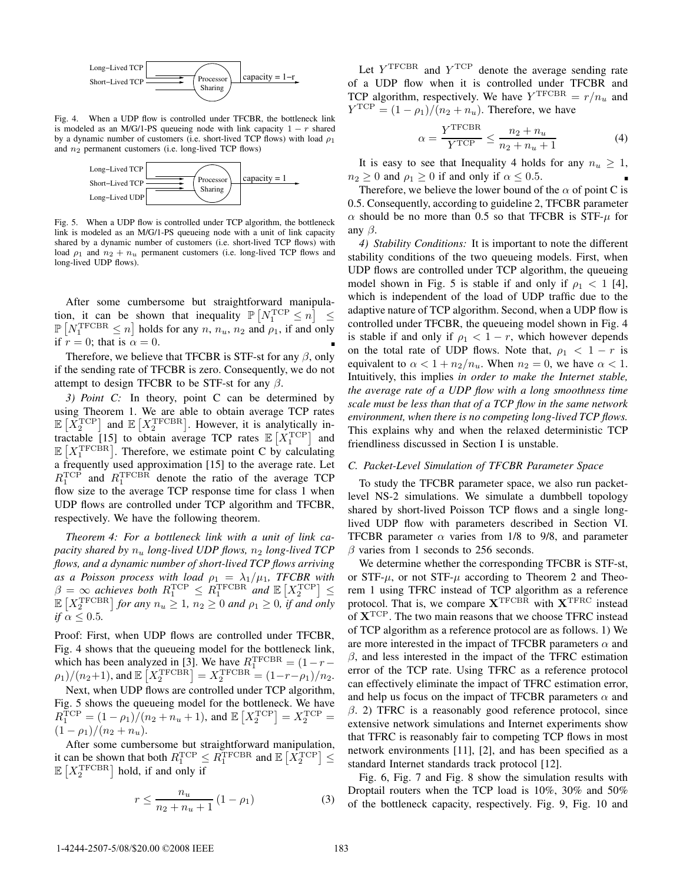

Fig. 4. When a UDP flow is controlled under TFCBR, the bottleneck link is modeled as an M/G/1-PS queueing node with link capacity  $1 - r$  shared by a dynamic number of customers (i.e. short-lived TCP flows) with load  $\rho_1$ and  $n_2$  permanent customers (i.e. long-lived TCP flows)



Fig. 5. When a UDP flow is controlled under TCP algorithm, the bottleneck link is modeled as an M/G/1-PS queueing node with a unit of link capacity shared by a dynamic number of customers (i.e. short-lived TCP flows) with load  $\rho_1$  and  $n_2 + n_u$  permanent customers (i.e. long-lived TCP flows and long-lived UDP flows).

After some cumbersome but straightforward manipulation, it can be shown that inequality  $\mathbb{P}\left[N_1^{\text{TCP}} \leq n\right] \leq$  $\mathbb{P}\left[N_1^{\text{TFCBR}} \leq n\right]$  holds for any  $n, n_u, n_2$  and  $\rho_1$ , if and only if  $r = 0$ ; that is  $\alpha = 0$ .

Therefore, we believe that TFCBR is STF-st for any  $\beta$ , only if the sending rate of TFCBR is zero. Consequently, we do not attempt to design TFCBR to be STF-st for any  $\beta$ .

*3) Point C:* In theory, point C can be determined by using Theorem 1. We are able to obtain average TCP rates  $\mathbb{E}\left[X_2^{\text{TCP}}\right]$  and  $\mathbb{E}\left[X_2^{\text{TFCBR}}\right]$ . However, it is analytically intractable [15] to obtain average TCP rates  $\mathbb{E}\left[X_1^{\text{TCP}}\right]$  and  $\mathbb{E}[X_1^{\text{TFCBR}}]$ . Therefore, we estimate point C by calculating a frequently used approximation [15] to the average rate. Let  $R_1^{\text{TCP}}$  and  $R_1^{\text{TFCBR}}$  denote the ratio of the average TCP flow size to the average TCP response time for class 1 when UDP flows are controlled under TCP algorithm and TFCBR, respectively. We have the following theorem.

*Theorem 4: For a bottleneck link with a unit of link capacity shared by*  $n_u$  *long-lived UDP flows,*  $n_2$  *long-lived TCP flows, and a dynamic number of short-lived TCP flows arriving as a Poisson process with load*  $\rho_1 = \lambda_1/\mu_1$ , TFCBR with  $\beta = \infty$  achieves both  $R_1^{\text{TCP}} \leq R_1^{\text{TFCBR}}$  and  $\mathbb{E}\left[X_2^{\text{TCP}}\right] \leq$  $\mathbb{E}\left[X_2^{\text{TFCBR}}\right]$  for any  $n_u \geq 1$ ,  $n_2 \geq 0$  and  $\rho_1 \geq 0$ , if and only *if*  $\alpha \leq 0.5$ *.* 

Proof: First, when UDP flows are controlled under TFCBR, Fig. 4 shows that the queueing model for the bottleneck link, which has been analyzed in [3]. We have  $R_1^{\text{TFCBR}} = (1 - r (\rho_1)/(n_2+1)$ , and  $\mathbb{E}\left[X_2^{\text{TFCBR}}\right] = X_2^{\text{TFCBR}} = (1-r-\rho_1)/n_2$ .

Next, when UDP flows are controlled under TCP algorithm, Fig. 5 shows the queueing model for the bottleneck. We have  $R_1^{\text{TCP}} = (1 - \rho_1)/(n_2 + n_u + 1)$ , and  $\mathbb{E}\left[X_2^{\text{TCP}}\right] = X_2^{\text{TCP}} =$  $(1 - \rho_1)/(n_2 + n_u).$ 

After some cumbersome but straightforward manipulation, it can be shown that both  $R_1^{\text{TCP}} \leq R_1^{\text{TFCBR}}$  and  $\mathbb{E}\left[X_2^{\text{TCP}}\right] \leq$  $\mathbb{E}\left[X_2^{\text{TFCBR}}\right]$  hold, if and only if

$$
r \le \frac{n_u}{n_2 + n_u + 1} \left(1 - \rho_1\right) \tag{3}
$$

Let  $Y^{\text{TFCBR}}$  and  $Y^{\text{TCP}}$  denote the average sending rate of a UDP flow when it is controlled under TFCBR and TCP algorithm, respectively. We have  $Y^{\text{TFCBR}} = r/n_u$  and  $Y^{\text{TCP}} = (1 - \rho_1)/(n_2 + n_u)$ . Therefore, we have

$$
\alpha = \frac{Y^{\text{TFCBR}}}{Y^{\text{TCP}}} \le \frac{n_2 + n_u}{n_2 + n_u + 1} \tag{4}
$$

It is easy to see that Inequality 4 holds for any  $n_u \geq 1$ ,  $n_2 \geq 0$  and  $\rho_1 \geq 0$  if and only if  $\alpha \leq 0.5$ .

Therefore, we believe the lower bound of the  $\alpha$  of point C is 0.5. Consequently, according to guideline 2, TFCBR parameter  $\alpha$  should be no more than 0.5 so that TFCBR is STF- $\mu$  for any  $\beta$ .

*4) Stability Conditions:* It is important to note the different stability conditions of the two queueing models. First, when UDP flows are controlled under TCP algorithm, the queueing model shown in Fig. 5 is stable if and only if  $\rho_1 < 1$  [4], which is independent of the load of UDP traffic due to the adaptive nature of TCP algorithm. Second, when a UDP flow is controlled under TFCBR, the queueing model shown in Fig. 4 is stable if and only if  $\rho_1 < 1 - r$ , which however depends on the total rate of UDP flows. Note that,  $\rho_1 < 1 - r$  is equivalent to  $\alpha < 1 + n_2/n_u$ . When  $n_2 = 0$ , we have  $\alpha < 1$ . Intuitively, this implies *in order to make the Internet stable, the average rate of a UDP flow with a long smoothness time scale must be less than that of a TCP flow in the same network environment, when there is no competing long-lived TCP flows.* This explains why and when the relaxed deterministic TCP friendliness discussed in Section I is unstable.

### *C. Packet-Level Simulation of TFCBR Parameter Space*

To study the TFCBR parameter space, we also run packetlevel NS-2 simulations. We simulate a dumbbell topology shared by short-lived Poisson TCP flows and a single longlived UDP flow with parameters described in Section VI. TFCBR parameter  $\alpha$  varies from 1/8 to 9/8, and parameter  $\beta$  varies from 1 seconds to 256 seconds.

We determine whether the corresponding TFCBR is STF-st, or STF- $\mu$ , or not STF- $\mu$  according to Theorem 2 and Theorem 1 using TFRC instead of TCP algorithm as a reference protocol. That is, we compare  $X^{\text{TFCBR}}$  with  $X^{\text{TFRC}}$  instead of **X**TCP. The two main reasons that we choose TFRC instead of TCP algorithm as a reference protocol are as follows. 1) We are more interested in the impact of TFCBR parameters  $\alpha$  and  $\beta$ , and less interested in the impact of the TFRC estimation error of the TCP rate. Using TFRC as a reference protocol can effectively eliminate the impact of TFRC estimation error, and help us focus on the impact of TFCBR parameters  $\alpha$  and  $\beta$ . 2) TFRC is a reasonably good reference protocol, since extensive network simulations and Internet experiments show that TFRC is reasonably fair to competing TCP flows in most network environments [11], [2], and has been specified as a standard Internet standards track protocol [12].

Fig. 6, Fig. 7 and Fig. 8 show the simulation results with Droptail routers when the TCP load is 10%, 30% and 50% of the bottleneck capacity, respectively. Fig. 9, Fig. 10 and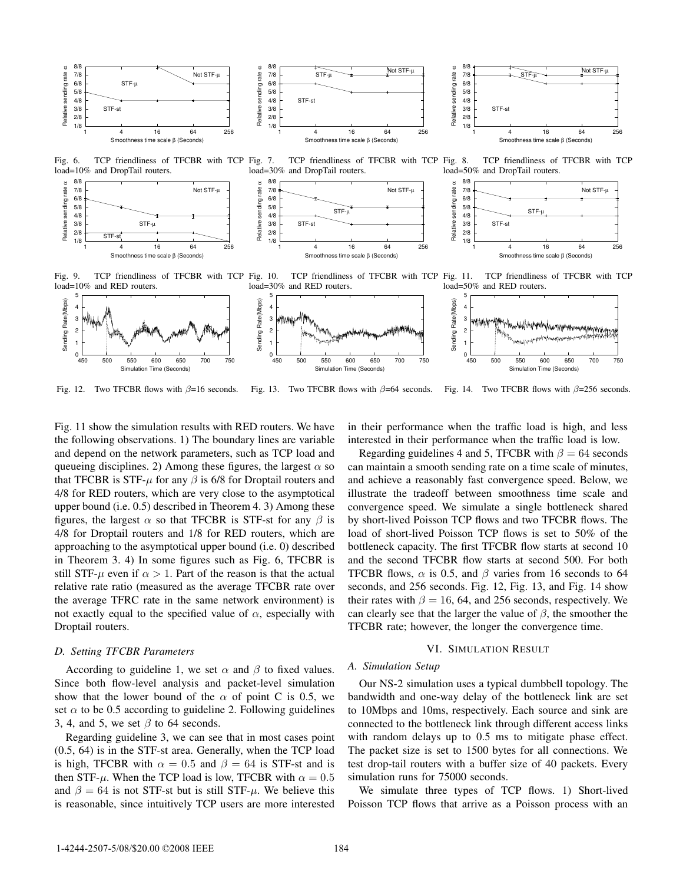

1/8

Fig. 6. TCP friendliness of TFCBR with TCP Fig. 7. load=10% and DropTail routers.



TCP friendliness of TFCBR with TCP Fig. 8. load=30% and DropTail routers. 8/8 Relative sending rate α 7/8 Not STF-μ Relative sending rate 6/8 5/8 STF-μ 4/8 3/8 STF-st 2/8



Fig. 8. TCP friendliness of TFCBR with TCP load=50% and DropTail routers. and DropTail routers.



Fig. 9. TCP friendliness of TFCBR with TCP Fig. 10. load=10% and RED routers.

TCP friendliness of TFCBR with TCP Fig. 11. load=30% and RED routers.

1 4 16 64 256

Smoothness time scale β (Seconds)

TCP friendliness of TFCBR with TCP load=50% and RED routers.



Fig. 12. Two TFCBR flows with  $\beta=16$  seconds. Fig. 13. Two TFCBR flows with  $\beta$ =64 seconds. Fig. 14. Two TFCBR flows with  $\beta = 256$  seconds.

Fig. 11 show the simulation results with RED routers. We have the following observations. 1) The boundary lines are variable and depend on the network parameters, such as TCP load and queueing disciplines. 2) Among these figures, the largest  $\alpha$  so that TFCBR is STF- $\mu$  for any  $\beta$  is 6/8 for Droptail routers and 4/8 for RED routers, which are very close to the asymptotical upper bound (i.e. 0.5) described in Theorem 4. 3) Among these figures, the largest  $\alpha$  so that TFCBR is STF-st for any  $\beta$  is 4/8 for Droptail routers and 1/8 for RED routers, which are approaching to the asymptotical upper bound (i.e. 0) described in Theorem 3. 4) In some figures such as Fig. 6, TFCBR is still STF- $\mu$  even if  $\alpha > 1$ . Part of the reason is that the actual relative rate ratio (measured as the average TFCBR rate over the average TFRC rate in the same network environment) is not exactly equal to the specified value of  $\alpha$ , especially with Droptail routers.

#### *D. Setting TFCBR Parameters*

According to guideline 1, we set  $\alpha$  and  $\beta$  to fixed values. Since both flow-level analysis and packet-level simulation show that the lower bound of the  $\alpha$  of point C is 0.5, we set  $\alpha$  to be 0.5 according to guideline 2. Following guidelines 3, 4, and 5, we set  $\beta$  to 64 seconds.

Regarding guideline 3, we can see that in most cases point (0.5, 64) is in the STF-st area. Generally, when the TCP load is high, TFCBR with  $\alpha = 0.5$  and  $\beta = 64$  is STF-st and is then STF- $\mu$ . When the TCP load is low, TFCBR with  $\alpha = 0.5$ and  $\beta = 64$  is not STF-st but is still STF- $\mu$ . We believe this is reasonable, since intuitively TCP users are more interested

in their performance when the traffic load is high, and less interested in their performance when the traffic load is low.

Regarding guidelines 4 and 5, TFCBR with  $\beta = 64$  seconds can maintain a smooth sending rate on a time scale of minutes, and achieve a reasonably fast convergence speed. Below, we illustrate the tradeoff between smoothness time scale and convergence speed. We simulate a single bottleneck shared by short-lived Poisson TCP flows and two TFCBR flows. The load of short-lived Poisson TCP flows is set to 50% of the bottleneck capacity. The first TFCBR flow starts at second 10 and the second TFCBR flow starts at second 500. For both TFCBR flows,  $\alpha$  is 0.5, and  $\beta$  varies from 16 seconds to 64 seconds, and 256 seconds. Fig. 12, Fig. 13, and Fig. 14 show their rates with  $\beta = 16, 64,$  and 256 seconds, respectively. We can clearly see that the larger the value of  $\beta$ , the smoother the TFCBR rate; however, the longer the convergence time.

# VI. SIMULATION RESULT

#### *A. Simulation Setup*

Our NS-2 simulation uses a typical dumbbell topology. The bandwidth and one-way delay of the bottleneck link are set to 10Mbps and 10ms, respectively. Each source and sink are connected to the bottleneck link through different access links with random delays up to 0.5 ms to mitigate phase effect. The packet size is set to 1500 bytes for all connections. We test drop-tail routers with a buffer size of 40 packets. Every simulation runs for 75000 seconds.

We simulate three types of TCP flows. 1) Short-lived Poisson TCP flows that arrive as a Poisson process with an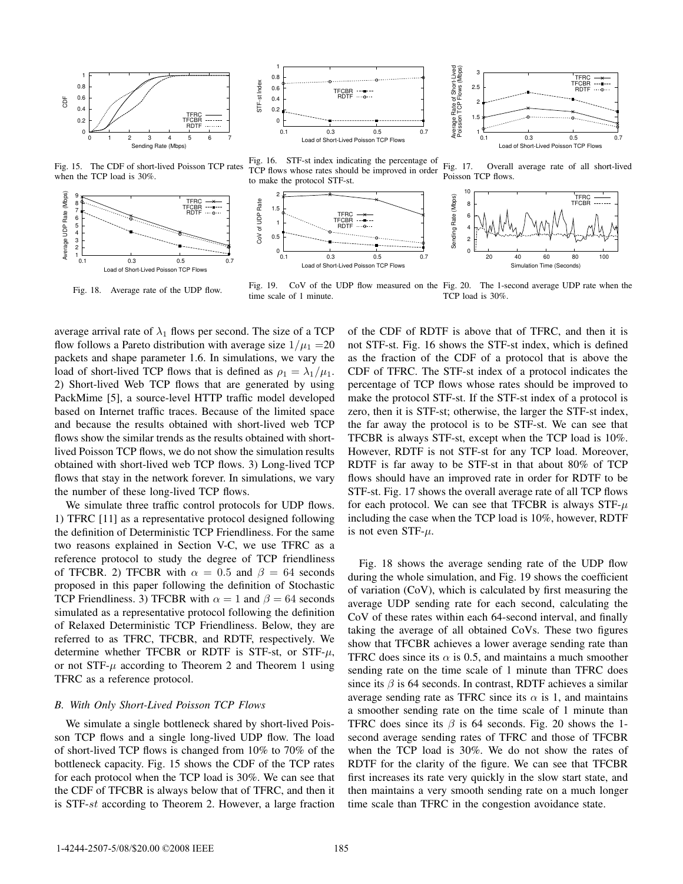



Average Rate of Short-Lived<br>Poission TCP Flows (Mbps) Average Rate of Short-Lived Poission TCP Flows (Mbps) 3 TFRC TFCBR RDTF 2.5 2 1.5 1 0.1 0.3 0.5 0.7 Load of Short-Lived Poisson TCP Flows

Fig. 15. The CDF of short-lived Poisson TCP rates when the TCP load is 30%.



Fig. 18. Average rate of the UDP flow.

Fig. 16. STF-st index indicating the percentage of TCP flows whose rates should be improved in order to make the protocol STF-st.







Fig. 19. CoV of the UDP flow measured on the Fig. 20. The 1-second average UDP rate when the time scale of 1 minute. TCP load is 30%.

average arrival rate of  $\lambda_1$  flows per second. The size of a TCP flow follows a Pareto distribution with average size  $1/\mu_1$  = 20 packets and shape parameter 1.6. In simulations, we vary the load of short-lived TCP flows that is defined as  $\rho_1 = \lambda_1/\mu_1$ . 2) Short-lived Web TCP flows that are generated by using PackMime [5], a source-level HTTP traffic model developed based on Internet traffic traces. Because of the limited space and because the results obtained with short-lived web TCP flows show the similar trends as the results obtained with shortlived Poisson TCP flows, we do not show the simulation results obtained with short-lived web TCP flows. 3) Long-lived TCP flows that stay in the network forever. In simulations, we vary the number of these long-lived TCP flows.

We simulate three traffic control protocols for UDP flows. 1) TFRC [11] as a representative protocol designed following the definition of Deterministic TCP Friendliness. For the same two reasons explained in Section V-C, we use TFRC as a reference protocol to study the degree of TCP friendliness of TFCBR. 2) TFCBR with  $\alpha = 0.5$  and  $\beta = 64$  seconds proposed in this paper following the definition of Stochastic TCP Friendliness. 3) TFCBR with  $\alpha = 1$  and  $\beta = 64$  seconds simulated as a representative protocol following the definition of Relaxed Deterministic TCP Friendliness. Below, they are referred to as TFRC, TFCBR, and RDTF, respectively. We determine whether TFCBR or RDTF is STF-st, or STF- $\mu$ , or not  $STF-\mu$  according to Theorem 2 and Theorem 1 using TFRC as a reference protocol.

#### *B. With Only Short-Lived Poisson TCP Flows*

We simulate a single bottleneck shared by short-lived Poisson TCP flows and a single long-lived UDP flow. The load of short-lived TCP flows is changed from 10% to 70% of the bottleneck capacity. Fig. 15 shows the CDF of the TCP rates for each protocol when the TCP load is 30%. We can see that the CDF of TFCBR is always below that of TFRC, and then it is STF-st according to Theorem 2. However, a large fraction

of the CDF of RDTF is above that of TFRC, and then it is not STF-st. Fig. 16 shows the STF-st index, which is defined as the fraction of the CDF of a protocol that is above the CDF of TFRC. The STF-st index of a protocol indicates the percentage of TCP flows whose rates should be improved to make the protocol STF-st. If the STF-st index of a protocol is zero, then it is STF-st; otherwise, the larger the STF-st index, the far away the protocol is to be STF-st. We can see that TFCBR is always STF-st, except when the TCP load is 10%. However, RDTF is not STF-st for any TCP load. Moreover, RDTF is far away to be STF-st in that about 80% of TCP flows should have an improved rate in order for RDTF to be STF-st. Fig. 17 shows the overall average rate of all TCP flows for each protocol. We can see that TFCBR is always  $STF-\mu$ including the case when the TCP load is 10%, however, RDTF is not even STF- $\mu$ .

Fig. 18 shows the average sending rate of the UDP flow during the whole simulation, and Fig. 19 shows the coefficient of variation (CoV), which is calculated by first measuring the average UDP sending rate for each second, calculating the CoV of these rates within each 64-second interval, and finally taking the average of all obtained CoVs. These two figures show that TFCBR achieves a lower average sending rate than TFRC does since its  $\alpha$  is 0.5, and maintains a much smoother sending rate on the time scale of 1 minute than TFRC does since its  $\beta$  is 64 seconds. In contrast, RDTF achieves a similar average sending rate as TFRC since its  $\alpha$  is 1, and maintains a smoother sending rate on the time scale of 1 minute than TFRC does since its  $\beta$  is 64 seconds. Fig. 20 shows the 1second average sending rates of TFRC and those of TFCBR when the TCP load is 30%. We do not show the rates of RDTF for the clarity of the figure. We can see that TFCBR first increases its rate very quickly in the slow start state, and then maintains a very smooth sending rate on a much longer time scale than TFRC in the congestion avoidance state.